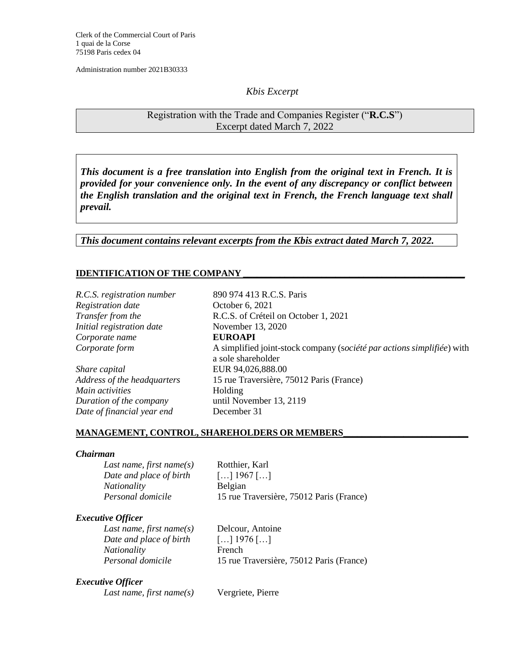Clerk of the Commercial Court of Paris 1 quai de la Corse 75198 Paris cedex 04

Administration number 2021B30333

## *Kbis Excerpt*

Registration with the Trade and Companies Register ("**R.C.S**") Excerpt dated March 7, 2022

*This document is a free translation into English from the original text in French. It is provided for your convenience only. In the event of any discrepancy or conflict between the English translation and the original text in French, the French language text shall prevail.* 

*This document contains relevant excerpts from the Kbis extract dated March 7, 2022.*

## **IDENTIFICATION OF THE COMPANY \_\_\_\_\_\_\_\_\_\_\_\_\_\_\_\_\_\_\_\_\_\_\_\_\_\_\_\_\_\_\_\_\_\_\_\_\_\_\_\_\_\_\_\_\_\_\_\_**

*Registration date* October 6, 2021 *Initial registration date* November 13, 2020 *Corporate name* **EUROAPI**

*Share capital* EUR 94,026,888.00 *Main activities* Holding *Duration of the company* until November 13, 2119 *Date of financial year end* December 31

*R.C.S. registration number* 890 974 413 R.C.S. Paris *Transfer from the* R.C.S. of Créteil on October 1, 2021 *Corporate form* A simplified joint-stock company (s*ociété par actions simplifiée*) with a sole shareholder *Address of the headquarters* 15 rue Traversière, 75012 Paris (France)

#### **MANAGEMENT, CONTROL, SHAREHOLDERS OR MEMBERS\_\_\_\_\_\_\_\_\_\_\_\_\_\_\_\_\_\_\_\_\_\_\_\_\_\_\_**

#### *Chairman*

*Last name, first name(s)* Rotthier, Karl *Date and place of birth* […] 1967 […] *Nationality* Belgian *Personal domicile* 15 rue Traversière, 75012 Paris (France)

### *Executive Officer*

*Last name, first name(s)* Delcour, Antoine *Date and place of birth* […] 1976 […] *Nationality* French

*Personal domicile* 15 rue Traversière, 75012 Paris (France)

#### *Executive Officer*

*Last name, first name(s)* Vergriete, Pierre